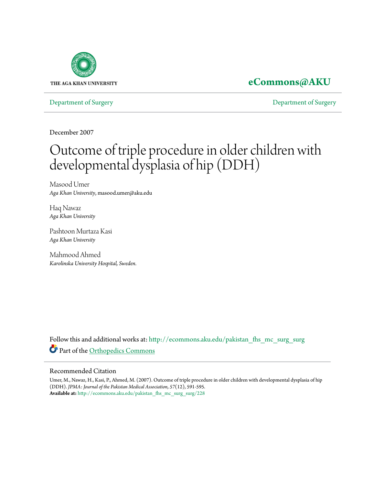

## **[eCommons@AKU](http://ecommons.aku.edu?utm_source=ecommons.aku.edu%2Fpakistan_fhs_mc_surg_surg%2F228&utm_medium=PDF&utm_campaign=PDFCoverPages)**

[Department of Surgery](http://ecommons.aku.edu/pakistan_fhs_mc_surg_surg?utm_source=ecommons.aku.edu%2Fpakistan_fhs_mc_surg_surg%2F228&utm_medium=PDF&utm_campaign=PDFCoverPages) [Department of Surgery](http://ecommons.aku.edu/pakistan_fhs_mc_surg?utm_source=ecommons.aku.edu%2Fpakistan_fhs_mc_surg_surg%2F228&utm_medium=PDF&utm_campaign=PDFCoverPages)

December 2007

# Outcome of triple procedure in older children with developmental dysplasia of hip (DDH)

Masood Umer *Aga Khan University*, masood.umer@aku.edu

Haq Nawaz *Aga Khan University*

Pashtoon Murtaza Kasi *Aga Khan University*

Mahmood Ahmed *Karolinska University Hospital, Sweden.*

Follow this and additional works at: [http://ecommons.aku.edu/pakistan\\_fhs\\_mc\\_surg\\_surg](http://ecommons.aku.edu/pakistan_fhs_mc_surg_surg?utm_source=ecommons.aku.edu%2Fpakistan_fhs_mc_surg_surg%2F228&utm_medium=PDF&utm_campaign=PDFCoverPages) Part of the [Orthopedics Commons](http://network.bepress.com/hgg/discipline/696?utm_source=ecommons.aku.edu%2Fpakistan_fhs_mc_surg_surg%2F228&utm_medium=PDF&utm_campaign=PDFCoverPages)

#### Recommended Citation

Umer, M., Nawaz, H., Kasi, P., Ahmed, M. (2007). Outcome of triple procedure in older children with developmental dysplasia of hip (DDH). *JPMA: Journal of the Pakistan Medical Association, 57*(12), 591-595. **Available at:** [http://ecommons.aku.edu/pakistan\\_fhs\\_mc\\_surg\\_surg/228](http://ecommons.aku.edu/pakistan_fhs_mc_surg_surg/228)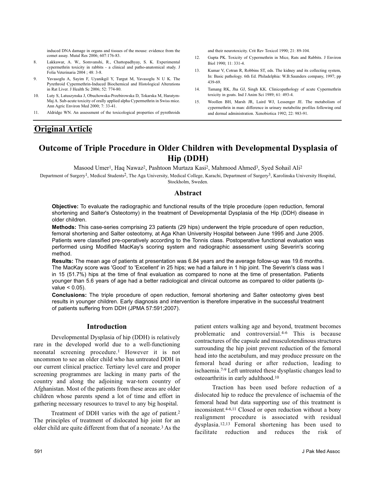### **Outcome of Triple Procedure in Older Children with Developmental Dysplasia of Hip (DDH)**

Masood Umer<sup>1</sup>, Haq Nawaz<sup>2</sup>, Pashtoon Murtaza Kasi<sup>2</sup>, Mahmood Ahmed<sup>3</sup>, Syed Sohail Ali<sup>2</sup>

Department of Surgery<sup>1</sup>, Medical Students<sup>2</sup>, The Aga University, Medical College, Karachi, Department of Surgery<sup>3</sup>, Karolinska University Hospital, Stockholm, Sweden.

#### **Abstract**

**Objective:** To evaluate the radiographic and functional results of the triple procedure (open reduction, femoral shortening and Salter's Osteotomy) in the treatment of Developmental Dysplasia of the Hip (DDH) disease in older children.

**Methods:** This case-series comprising 23 patients (29 hips) underwent the triple procedure of open reduction, femoral shortening and Salter osteotomy, at Aga Khan University Hospital between June 1995 and June 2005. Patients were classified pre-operatively according to the Tonnis class. Postoperative functional evaluation was performed using Modified MacKay's scoring system and radiographic assessment using Severin's scoring method.

**Results:** The mean age of patients at presentation was 6.84 years and the average follow-up was 19.6 months. The MacKay score was 'Good' to 'Excellent' in 25 hips; we had a failure in 1 hip joint. The Severin's class was I in 15 (51.7%) hips at the time of final evaluation as compared to none at the time of presentation. Patients younger than 5.6 years of age had a better radiological and clinical outcome as compared to older patients (pvalue  $< 0.05$ ).

**Conclusions:** The triple procedure of open reduction, femoral shortening and Salter osteotomy gives best results in younger children. Early diagnosis and intervention is therefore imperative in the successful treatment of patients suffering from DDH (JPMA 57:591;2007).

#### **Introduction**

Developmental Dysplasia of hip (DDH) is relatively rare in the developed world due to a well-functioning neonatal screening procedure.1 However it is not uncommon to see an older child who has untreated DDH in our current clinical practice. Tertiary level care and proper screening programmes are lacking in many parts of the country and along the adjoining war-torn country of Afghanistan. Most of the patients from these areas are older children whose parents spend a lot of time and effort in gathering necessary resources to travel to any big hospital.

Treatment of DDH varies with the age of patient.2 The principles of treatment of dislocated hip joint for an older child are quite different from that of a neonate.3 As the patient enters walking age and beyond, treatment becomes problematic and controversial.4-6 This is because contractures of the capsule and musculotendinous structures surrounding the hip joint prevent reduction of the femoral head into the acetabulum, and may produce pressure on the femoral head during or after reduction, leading to ischaemia.7-9 Left untreated these dysplastic changes lead to osteoarthritis in early adulthood.10

Traction has been used before reduction of a dislocated hip to reduce the prevalence of ischaemia of the femoral head but data supporting use of this treatment is inconsistent.4-6,11 Closed or open reduction without a bony realignment procedure is associated with residual dysplasia.12,13 Femoral shortening has been used to facilitate reduction and reduces the risk of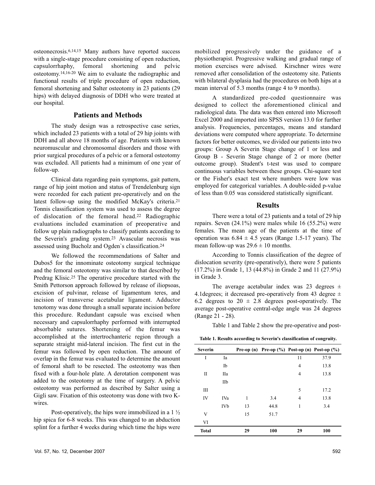osteonecrosis.6,14,15 Many authors have reported success with a single-stage procedure consisting of open reduction, capsulorrhaphy, femoral shortening and pelvic osteotomy.14,16-20 We aim to evaluate the radiographic and functional results of triple procedure of open reduction, femoral shortening and Salter osteotomy in 23 patients (29 hips) with delayed diagnosis of DDH who were treated at our hospital.

#### **Patients and Methods**

The study design was a retrospective case series, which included 23 patients with a total of 29 hip joints with DDH and all above 18 months of age. Patients with known neuromuscular and chromosomal disorders and those with prior surgical procedures of a pelvic or a femoral osteotomy was excluded. All patients had a minimum of one year of follow-up.

Clinical data regarding pain symptoms, gait pattern, range of hip joint motion and status of Trendelenburg sign were recorded for each patient pre-operatively and on the latest follow-up using the modified McKay's criteria.21 Tonnis classification system was used to assess the degree of dislocation of the femoral head.22 Radiographic evaluations included examination of preoperative and follow up plain radiographs to classify patients according to the Severin's grading system.23 Avascular necrosis was assessed using Bucholz and Ogden`s classification.24

We followed the recommendations of Salter and Dubos5 for the innominate osteotomy surgical technique and the femoral osteotomy was similar to that described by Predrag Klisic.25 The operative procedure started with the Smith Pettorson approach followed by release of iliopsoas, excision of pulvinar, release of ligamentum teres, and incision of transverse acetabular ligament. Adductor tenotomy was done through a small separate incision before this procedure. Redundant capsule was excised when necessary and capsulorrhaphy performed with interrupted absorbable sutures. Shortening of the femur was accomplished at the intertrochanteric region through a separate straight mid-lateral incision. The first cut in the femur was followed by open reduction. The amount of overlap in the femur was evaluated to determine the amount of femoral shaft to be resected. The osteotomy was then fixed with a four-hole plate. A derotation component was added to the osteotomy at the time of surgery. A pelvic osteotomy was performed as described by Salter using a Gigli saw. Fixation of this osteotomy was done with two Kwires.

Post-operatively, the hips were immobilized in a 1 ½ hip spica for 6-8 weeks. This was changed to an abduction splint for a further 4 weeks during which time the hips were mobilized progressively under the guidance of a physiotherapist. Progressive walking and gradual range of motion exercises were advised. Kirschner wires were removed after consolidation of the osteotomy site. Patients with bilateral dysplasia had the procedures on both hips at a mean interval of 5.3 months (range 4 to 9 months).

A standardized pre-coded questionnaire was designed to collect the aforementioned clinical and radiological data. The data was then entered into Microsoft Excel 2000 and imported into SPSS version 13.0 for further analysis. Frequencies, percentages, means and standard deviations were computed where appropriate. To determine factors for better outcomes, we divided our patients into two groups: Group A Severin Stage change of 1 or less and Group B - Severin Stage change of 2 or more (better outcome group). Student's t-test was used to compare continuous variables between these groups. Chi-square test or the Fisher's exact test where numbers were low was employed for categorical variables. A double-sided p-value of less than 0.05 was considered statistically significant.

#### **Results**

There were a total of 23 patients and a total of 29 hip repairs. Seven (24.1%) were males while 16 (55.2%) were females. The mean age of the patients at the time of operation was  $6.84 \pm 4.5$  years (Range 1.5-17 years). The mean follow-up was  $29.6 \pm 10$  months.

According to Tonnis classification of the degree of dislocation severity (pre-operatively), there were 5 patients (17.2%) in Grade 1, 13 (44.8%) in Grade 2 and 11 (27.9%) in Grade 3.

The average acetabular index was 23 degrees  $\pm$ 4.1 degrees; it decreased pre-operatively from 43 degree  $\pm$ 6.2 degrees to  $20 \pm 2.8$  degrees post-operatively. The average post-operative central-edge angle was 24 degrees (Range 21 - 28).

Table 1 and Table 2 show the pre-operative and post-

**Table 1. Results according to Severin's classification of congruity.**

| <b>Severin</b> |            |    |      |                | Pre-op (n) Pre-op $(\%)$ Post-op (n) Post-op $(\%)$ |
|----------------|------------|----|------|----------------|-----------------------------------------------------|
| I              | Ia         |    |      | 11             | 37.9                                                |
|                | Ib         |    |      | 4              | 13.8                                                |
| П              | <b>IIa</b> |    |      | $\overline{4}$ | 13.8                                                |
|                | IIb        |    |      |                |                                                     |
| Ш              |            |    |      | 5              | 17.2                                                |
| IV             | IVa        | 1  | 3.4  | $\overline{4}$ | 13.8                                                |
|                | IVb        | 13 | 44.8 | 1              | 3.4                                                 |
| V              |            | 15 | 51.7 |                |                                                     |
| VI             |            |    |      |                |                                                     |
| <b>Total</b>   |            | 29 | 100  | 29             | 100                                                 |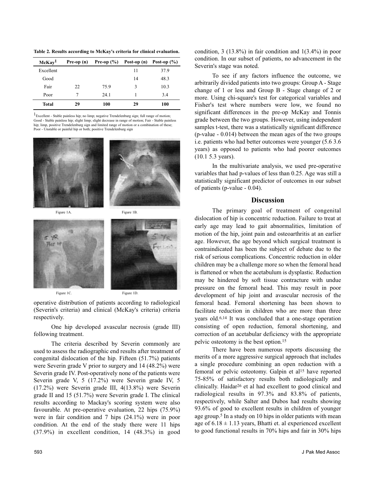**Table 2. Results according to McKay's criteria for clinical evaluation.** 

| McKay <sup>1</sup> | Pre-op (n) | Pre-op $(\% )$ | Post-op (n) | Post-op $(\% )$ |
|--------------------|------------|----------------|-------------|-----------------|
| Excellent          |            |                | 11          | 37.9            |
| Good               |            |                | 14          | 48.3            |
| Fair               | 22         | 75.9           | 3           | 10.3            |
| Poor               | 7          | 24.1           |             | 3.4             |
| Total              | 29         | 100            | 29          | 100             |

1Excellent - Stable painless hip; no limp; negative Trendelenburg sign; full range of motion; Good - Stable painless hip; slight limp; slight decrease in range of motion; Fair - Stable painless hip; limp, positive Trendelenburg sign and limited range of motion or a combination of these; nstable or painful hip or both; positive Trendelenburg sign





operative distribution of patients according to radiological (Severin's criteria) and clinical (McKay's criteria) criteria respectively.

One hip developed avascular necrosis (grade III) following treatment.

The criteria described by Severin commonly are used to assess the radiographic end results after treatment of congenital dislocation of the hip. Fifteen (51.7%) patients were Severin grade V prior to surgery and 14 (48.2%) were Severin grade IV. Post-operatively none of the patients were Severin grade V, 5 (17.2%) were Severin grade IV, 5 (17.2%) were Severin grade III, 4(13.8%) were Severin grade II and 15 (51.7%) were Severin grade I. The clinical results according to Mackay's scoring system were also favourable. At pre-operative evaluation, 22 hips (75.9%) were in fair condition and 7 hips (24.1%) were in poor condition. At the end of the study there were 11 hips (37.9%) in excellent condition, 14 (48.3%) in good

condition, 3 (13.8%) in fair condition and 1(3.4%) in poor condition. In our subset of patients, no advancement in the Severin's stage was noted.

To see if any factors influence the outcome, we arbitrarily divided patients into two groups: Group A - Stage change of 1 or less and Group B - Stage change of 2 or more. Using chi-square's test for categorical variables and Fisher's test where numbers were low, we found no significant differences in the pre-op McKay and Tonnis grade between the two groups. However, using independent samples t-test, there was a statistically significant difference (p-value - 0.014) between the mean ages of the two groups i.e. patients who had better outcomes were younger (5.6 3.6 years) as opposed to patients who had poorer outcomes (10.1 5.3 years).

In the multivariate analysis, we used pre-operative variables that had p-values of less than 0.25. Age was still a statistically significant predictor of outcomes in our subset of patients (p-value - 0.04).

#### **Discussion**

The primary goal of treatment of congenital dislocation of hip is concentric reduction. Failure to treat at early age may lead to gait abnormalities, limitation of motion of the hip, joint pain and osteoarthritis at an earlier age. However, the age beyond which surgical treatment is contraindicated has been the subject of debate due to the risk of serious complications. Concentric reduction in older children may be a challenge more so when the femoral head is flattened or when the acetabulum is dysplastic. Reduction may be hindered by soft tissue contracture with undue pressure on the femoral head. This may result in poor development of hip joint and avascular necrosis of the femoral head. Femoral shortening has been shown to facilitate reduction in children who are more than three years old.6,14 It was concluded that a one-stage operation consisting of open reduction, femoral shortening, and correction of an acetabular deficiency with the appropriate pelvic osteotomy is the best option.15

There have been numerous reports discussing the merits of a more aggressive surgical approach that includes a single procedure combining an open reduction with a femoral or pelvic osteotomy. Galpin et al<sup>15</sup> have reported 75-85% of satisfactory results both radiologically and clinically. Haidar26 et al had excellent to good clinical and radiological results in 97.3% and 83.8% of patients, respectively, while Salter and Dubos had results showing 93.6% of good to excellent results in children of younger age group.5 In a study on 10 hips in older patients with mean age of  $6.18 \pm 1.13$  years, Bhatti et. al experienced excellent to good functional results in 70% hips and fair in 30% hips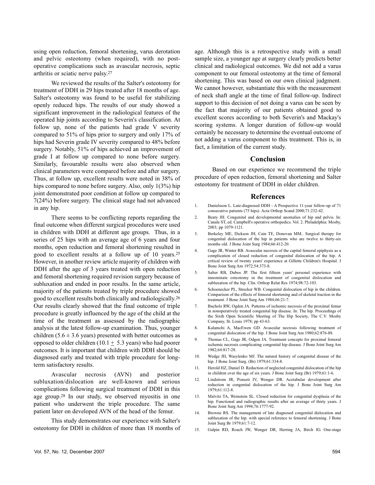using open reduction, femoral shortening, varus derotation and pelvic osteotomy (when required), with no postoperative complications such as avascular necrosis, septic arthritis or sciatic nerve palsy.27

We reviewed the results of the Salter's osteotomy for treatment of DDH in 29 hips treated after 18 months of age. Salter's osteotomy was found to be useful for stabilizing openly reduced hips. The results of our study showed a significant improvement in the radiological features of the operated hip joints according to Severin's classification. At follow up, none of the patients had grade V severity compared to 51% of hips prior to surgery and only 17% of hips had Severin grade IV severity compared to 48% before surgery. Notably, 51% of hips achieved an improvement of grade I at follow up compared to none before surgery. Similarly, favourable results were also observed when clinical parameters were compared before and after surgery. Thus, at follow up, excellent results were noted in 38% of hips compared to none before surgery. Also, only  $1(3\%)$  hip joint demonstrated poor condition at follow up compared to 7(24%) before surgery. The clinical stage had not advanced in any hip.

There seems to be conflicting reports regarding the final outcome when different surgical procedures were used in children with DDH at different age groups. Thus, in a series of 25 hips with an average age of 6 years and four months, open reduction and femoral shortening resulted in good to excellent results at a follow up of 10 years.25 However, in another review article majority of children with DDH after the age of 3 years treated with open reduction and femoral shortening required revision surgery because of subluxation and ended in poor results. In the same article, majority of the patients treated by triple procedure showed good to excellent results both clinically and radiologically.26 Our results clearly showed that the final outcome of triple procedure is greatly influenced by the age of the child at the time of the treatment as assessed by the radiographic analysis at the latest follow-up examination. Thus, younger children (5.6  $\pm$  3.6 years) presented with better outcomes as opposed to older children (10.1  $\pm$  5.3 years) who had poorer outcomes. It is important that children with DDH should be diagnosed early and treated with triple procedure for longterm satisfactory results.

Avascular necrosis (AVN) and posterior subluxation/dislocation are well-known and serious complications following surgical treatment of DDH in this age group.28 In our study, we observed myositis in one patient who underwent the triple procedure. The same patient later on developed AVN of the head of the femur.

This study demonstrates our experience with Salter's osteotomy for DDH in children of more than 18 months of

age. Although this is a retrospective study with a small sample size, a younger age at surgery clearly predicts better clinical and radiological outcomes. We did not add a varus component to our femoral osteotomy at the time of femoral shortening. This was based on our own clinical judgment. We cannot however, substantiate this with the measurement of neck shaft angle at the time of final follow-up. Indirect support to this decision of not doing a varus can be seen by the fact that majority of our patients obtained good to excellent scores according to both Severin's and Mackay's scoring systems. A longer duration of follow-up would certainly be necessary to determine the eventual outcome of not adding a varus component to this treatment. This is, in fact, a limitation of the current study.

#### **Conclusion**

Based on our experience we recommend the triple procedure of open reduction, femoral shortening and Salter osteotomy for treatment of DDH in older children.

#### **References**

- 1. Danielsson L. Late-diagnosed DDH A Prospective 11-year follow-up of 71 consecutive patients (75 hips). Acta Orthop Scand 2000;71:232-42.
- 2. Beaty JH. Congenital and developmental anomalies of hip and pelvis. In: Canale ST, ed. Campbell's operative orthopedics. Vol. 2. Philadelphia: Mosby, 2003; pp 1079-1121.
- 3. Berkeley ME, Dickson JH, Cain TE, Donovan MM.. Surgical therapy for congenital dislocation of the hip in patients who are twelve to thirty-six months old. J Bone Joint Surg 1984;66:412-20.
- 4. Gage JR, Winter RB. Avascular necrosis of the capital femoral epiphysis as a complication of closed reduction of congenital dislocation of the hip. A critical review of twenty years' experience at Gillette Children's Hospital. J Bone Joint Surg Am 1972;54:373-8.
- 5. Salter RB, Dubos JP. The first fifteen years' personal experience with innominate osteotomy in the treatment of congenital dislocation and subluxation of the hip. Clin. Orthop Relat Res 1974;98:72-103.
- 6. Schoenecker PL, Strecker WB. Congenital dislocation of hip in the children. Comparison of the effects of femoral shortening and of skeletal traction in the treatment. J Bone Joint Surg Am 1984;66:21-7.
- 7. Bucholz RW, Ogden JA. Patterns of ischemic necrosis of the proximal femur in nonoperatively treated congenital hip disease. In: The hip. Proceedings of the Sixth Open Scientific Meeting of The Hip Society, The C.V. Mosby Company, St. Louis 1978; pp 43-63.
- 8. Kalamchi A, MacEwen GD. Avascular necrosis following treatment of congenital dislocation of the hip. J Bone Joint Surg Am 1980;62:876-88.
- 9. Thomas CL, Gage JR, Odgen JA. Treatment concepts for proximal femoral ischemic necrosis complicating congenital hip disease. J Bone Joint Surg Am 1982;64:817-28.
- 10. Wedge JH, Wasylenko MJ. The natural history of congenital disease of the hip. J Bone Joint Surg. (Br) 1979;61:334-8.
- 11. Herold HZ, Daniel D. Reduction of neglected congenital dislocation of the hip in children over the age of six years. J Bone Joint Surg (Br) 1979;61:1-6.
- 12. Lindstrom JR, Ponseti IV, Wenger DR. Acetabular development after reduction in congenital dislocation of the hip. J Bone Joint Surg Am 1979;61:112-8.
- 13. Malvitz TA, Weinstein SL. Closed reduction for congenital dysplasia of the hip. Functional and radiographic results after an average of thirty years. J Bone Joint Surg Am 1994;76:1777-92.
- 14. Browne RS. The management of late diagnosed congenital dislocation and subluxation of the hip. with special reference to femoral shortening. J Bone Joint Surg Br 1979;61:7-12.
- 15. Galpin RD, Roach JW, Wenger DR, Herring JA, Birch JG. One-stage